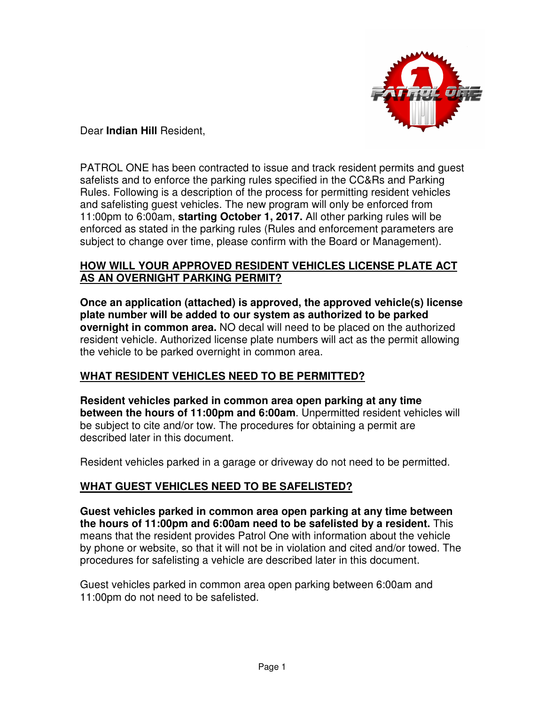

## Dear **Indian Hill** Resident,

PATROL ONE has been contracted to issue and track resident permits and guest safelists and to enforce the parking rules specified in the CC&Rs and Parking Rules. Following is a description of the process for permitting resident vehicles and safelisting guest vehicles. The new program will only be enforced from 11:00pm to 6:00am, **starting October 1, 2017.** All other parking rules will be enforced as stated in the parking rules (Rules and enforcement parameters are subject to change over time, please confirm with the Board or Management).

## **HOW WILL YOUR APPROVED RESIDENT VEHICLES LICENSE PLATE ACT AS AN OVERNIGHT PARKING PERMIT?**

**Once an application (attached) is approved, the approved vehicle(s) license plate number will be added to our system as authorized to be parked overnight in common area.** NO decal will need to be placed on the authorized resident vehicle. Authorized license plate numbers will act as the permit allowing the vehicle to be parked overnight in common area.

## **WHAT RESIDENT VEHICLES NEED TO BE PERMITTED?**

**Resident vehicles parked in common area open parking at any time between the hours of 11:00pm and 6:00am**. Unpermitted resident vehicles will be subject to cite and/or tow. The procedures for obtaining a permit are described later in this document.

Resident vehicles parked in a garage or driveway do not need to be permitted.

# **WHAT GUEST VEHICLES NEED TO BE SAFELISTED?**

**Guest vehicles parked in common area open parking at any time between the hours of 11:00pm and 6:00am need to be safelisted by a resident.** This means that the resident provides Patrol One with information about the vehicle by phone or website, so that it will not be in violation and cited and/or towed. The procedures for safelisting a vehicle are described later in this document.

Guest vehicles parked in common area open parking between 6:00am and 11:00pm do not need to be safelisted.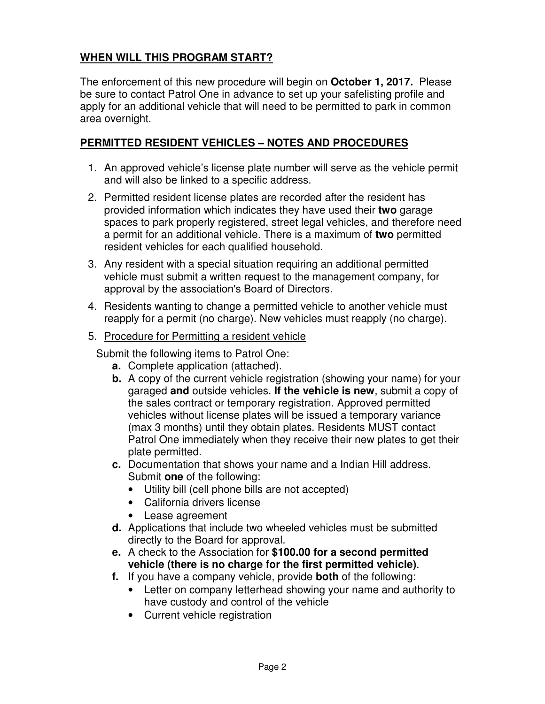# **WHEN WILL THIS PROGRAM START?**

The enforcement of this new procedure will begin on **October 1, 2017.** Please be sure to contact Patrol One in advance to set up your safelisting profile and apply for an additional vehicle that will need to be permitted to park in common area overnight.

## **PERMITTED RESIDENT VEHICLES – NOTES AND PROCEDURES**

- 1. An approved vehicle's license plate number will serve as the vehicle permit and will also be linked to a specific address.
- 2. Permitted resident license plates are recorded after the resident has provided information which indicates they have used their **two** garage spaces to park properly registered, street legal vehicles, and therefore need a permit for an additional vehicle. There is a maximum of **two** permitted resident vehicles for each qualified household.
- 3. Any resident with a special situation requiring an additional permitted vehicle must submit a written request to the management company, for approval by the association's Board of Directors.
- 4. Residents wanting to change a permitted vehicle to another vehicle must reapply for a permit (no charge). New vehicles must reapply (no charge).
- 5. Procedure for Permitting a resident vehicle

Submit the following items to Patrol One:

- **a.** Complete application (attached).
- **b.** A copy of the current vehicle registration (showing your name) for your garaged **and** outside vehicles. **If the vehicle is new**, submit a copy of the sales contract or temporary registration. Approved permitted vehicles without license plates will be issued a temporary variance (max 3 months) until they obtain plates. Residents MUST contact Patrol One immediately when they receive their new plates to get their plate permitted.
- **c.** Documentation that shows your name and a Indian Hill address. Submit **one** of the following:
	- Utility bill (cell phone bills are not accepted)
	- California drivers license
	- Lease agreement
- **d.** Applications that include two wheeled vehicles must be submitted directly to the Board for approval.
- **e.** A check to the Association for **\$100.00 for a second permitted vehicle (there is no charge for the first permitted vehicle)**.
- **f.** If you have a company vehicle, provide **both** of the following:
	- Letter on company letterhead showing your name and authority to have custody and control of the vehicle
	- Current vehicle registration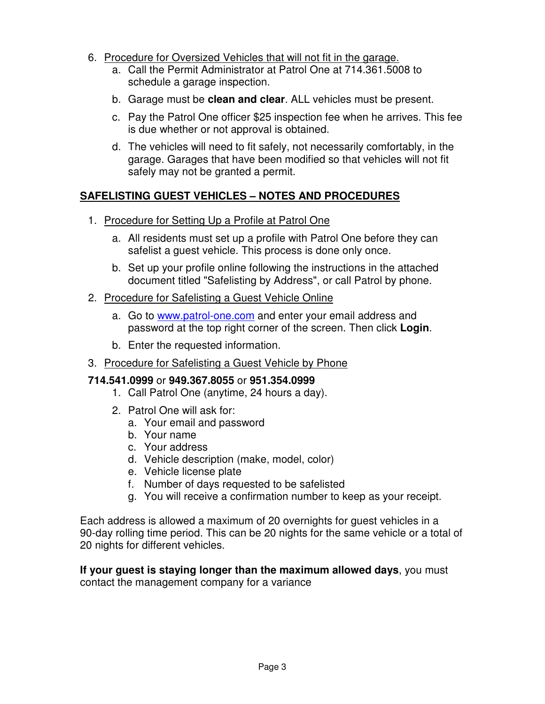- 6. Procedure for Oversized Vehicles that will not fit in the garage.
	- a. Call the Permit Administrator at Patrol One at 714.361.5008 to schedule a garage inspection.
	- b. Garage must be **clean and clear**. ALL vehicles must be present.
	- c. Pay the Patrol One officer \$25 inspection fee when he arrives. This fee is due whether or not approval is obtained.
	- d. The vehicles will need to fit safely, not necessarily comfortably, in the garage. Garages that have been modified so that vehicles will not fit safely may not be granted a permit.

## **SAFELISTING GUEST VEHICLES – NOTES AND PROCEDURES**

- 1. Procedure for Setting Up a Profile at Patrol One
	- a. All residents must set up a profile with Patrol One before they can safelist a guest vehicle. This process is done only once.
	- b. Set up your profile online following the instructions in the attached document titled "Safelisting by Address", or call Patrol by phone.

#### 2. Procedure for Safelisting a Guest Vehicle Online

- a. Go to www.patrol-one.com and enter your email address and password at the top right corner of the screen. Then click **Login**.
- b. Enter the requested information.
- 3. Procedure for Safelisting a Guest Vehicle by Phone

## **714.541.0999** or **949.367.8055** or **951.354.0999**

- 1. Call Patrol One (anytime, 24 hours a day).
- 2. Patrol One will ask for:
	- a. Your email and password
	- b. Your name
	- c. Your address
	- d. Vehicle description (make, model, color)
	- e. Vehicle license plate
	- f. Number of days requested to be safelisted
	- g. You will receive a confirmation number to keep as your receipt.

Each address is allowed a maximum of 20 overnights for guest vehicles in a 90-day rolling time period. This can be 20 nights for the same vehicle or a total of 20 nights for different vehicles.

**If your guest is staying longer than the maximum allowed days**, you must contact the management company for a variance